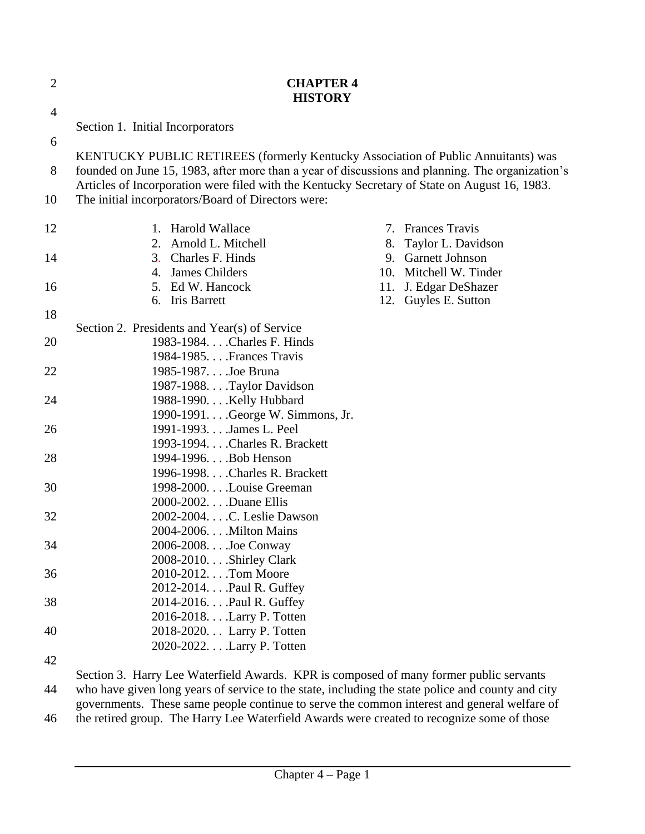| $\overline{2}$ | <b>CHAPTER 4</b><br><b>HISTORY</b>                                                                                                                                                    |    |                        |  |  |
|----------------|---------------------------------------------------------------------------------------------------------------------------------------------------------------------------------------|----|------------------------|--|--|
| $\overline{4}$ |                                                                                                                                                                                       |    |                        |  |  |
| 6              | Section 1. Initial Incorporators                                                                                                                                                      |    |                        |  |  |
| 8              | KENTUCKY PUBLIC RETIREES (formerly Kentucky Association of Public Annuitants) was<br>founded on June 15, 1983, after more than a year of discussions and planning. The organization's |    |                        |  |  |
| 10             | Articles of Incorporation were filed with the Kentucky Secretary of State on August 16, 1983.<br>The initial incorporators/Board of Directors were:                                   |    |                        |  |  |
| 12             | 1. Harold Wallace                                                                                                                                                                     | 7. | <b>Frances Travis</b>  |  |  |
|                | 2. Arnold L. Mitchell                                                                                                                                                                 |    | 8. Taylor L. Davidson  |  |  |
| 14             | 3. Charles F. Hinds                                                                                                                                                                   |    | 9. Garnett Johnson     |  |  |
|                | 4. James Childers                                                                                                                                                                     |    | 10. Mitchell W. Tinder |  |  |
| 16             | 5. Ed W. Hancock                                                                                                                                                                      |    | 11. J. Edgar DeShazer  |  |  |
|                | 6. Iris Barrett                                                                                                                                                                       |    | 12. Guyles E. Sutton   |  |  |
| 18             |                                                                                                                                                                                       |    |                        |  |  |
|                | Section 2. Presidents and Year(s) of Service                                                                                                                                          |    |                        |  |  |
| 20             | 1983-1984. Charles F. Hinds                                                                                                                                                           |    |                        |  |  |
|                | 1984-1985. Frances Travis                                                                                                                                                             |    |                        |  |  |
| 22             | 1985-1987. Joe Bruna                                                                                                                                                                  |    |                        |  |  |
|                | 1987-1988. Taylor Davidson                                                                                                                                                            |    |                        |  |  |
| 24             | 1988-1990. Kelly Hubbard                                                                                                                                                              |    |                        |  |  |
|                | 1990-1991. George W. Simmons, Jr.                                                                                                                                                     |    |                        |  |  |
| 26             | 1991-1993. James L. Peel                                                                                                                                                              |    |                        |  |  |
|                | 1993-1994. Charles R. Brackett                                                                                                                                                        |    |                        |  |  |
| 28             | 1994-1996. Bob Henson                                                                                                                                                                 |    |                        |  |  |
|                | 1996-1998. Charles R. Brackett                                                                                                                                                        |    |                        |  |  |
| 30             | 1998-2000. Louise Greeman                                                                                                                                                             |    |                        |  |  |
|                | 2000-2002.Duane Ellis                                                                                                                                                                 |    |                        |  |  |
| 32             | 2002-2004. C. Leslie Dawson                                                                                                                                                           |    |                        |  |  |
|                | 2004-2006. Milton Mains                                                                                                                                                               |    |                        |  |  |
| 34             | 2006-2008Joe Conway                                                                                                                                                                   |    |                        |  |  |
|                | 2008-2010. Shirley Clark                                                                                                                                                              |    |                        |  |  |
| 36             | 2010-2012. Tom Moore                                                                                                                                                                  |    |                        |  |  |
|                | 2012-2014. Paul R. Guffey                                                                                                                                                             |    |                        |  |  |
| 38             | 2014-2016. Paul R. Guffey                                                                                                                                                             |    |                        |  |  |
|                | 2016-2018. Larry P. Totten                                                                                                                                                            |    |                        |  |  |
| 40             | 2018-2020. Larry P. Totten                                                                                                                                                            |    |                        |  |  |
|                | 2020-2022. Larry P. Totten                                                                                                                                                            |    |                        |  |  |
| 42             |                                                                                                                                                                                       |    |                        |  |  |
|                | Section 3. Harry Lee Waterfield Awards. KPR is composed of many former public servants                                                                                                |    |                        |  |  |
| 44             | who have given long years of service to the state, including the state police and county and city                                                                                     |    |                        |  |  |
|                | governments. These same people continue to serve the common interest and general welfare of                                                                                           |    |                        |  |  |
| 46             | the retired group. The Harry Lee Waterfield Awards were created to recognize some of those                                                                                            |    |                        |  |  |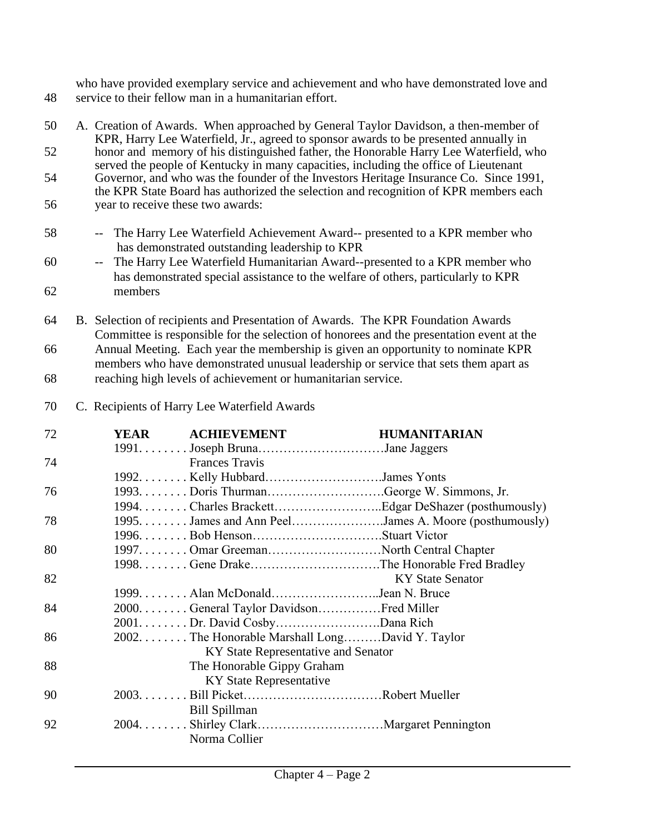who have provided exemplary service and achievement and who have demonstrated love and 48 service to their fellow man in a humanitarian effort.

| 50 | A. Creation of Awards. When approached by General Taylor Davidson, a then-member of<br>KPR, Harry Lee Waterfield, Jr., agreed to sponsor awards to be presented annually in   |
|----|-------------------------------------------------------------------------------------------------------------------------------------------------------------------------------|
| 52 | honor and memory of his distinguished father, the Honorable Harry Lee Waterfield, who<br>served the people of Kentucky in many capacities, including the office of Lieutenant |
| 54 | Governor, and who was the founder of the Investors Heritage Insurance Co. Since 1991,<br>the KPR State Board has authorized the selection and recognition of KPR members each |
| 56 | year to receive these two awards:                                                                                                                                             |
| 58 | The Harry Lee Waterfield Achievement Award-- presented to a KPR member who<br>has demonstrated outstanding leadership to KPR                                                  |
| 60 | The Harry Lee Waterfield Humanitarian Award--presented to a KPR member who<br>$-$<br>has demonstrated special assistance to the welfare of others, particularly to KPR        |
| 62 | members                                                                                                                                                                       |
| 64 | B. Selection of recipients and Presentation of Awards. The KPR Foundation Awards<br>Committee is responsible for the selection of honorees and the presentation event at the  |
| 66 | Annual Meeting. Each year the membership is given an opportunity to nominate KPR<br>members who have demonstrated unusual leadership or service that sets them apart as       |
| 68 | reaching high levels of achievement or humanitarian service.                                                                                                                  |

70 C. Recipients of Harry Lee Waterfield Awards

| 72 | <b>YEAR</b> | <b>ACHIEVEMENT</b>                                      | <b>HUMANITARIAN</b>     |
|----|-------------|---------------------------------------------------------|-------------------------|
|    |             |                                                         |                         |
| 74 |             | <b>Frances Travis</b>                                   |                         |
|    |             |                                                         |                         |
| 76 |             |                                                         |                         |
|    |             |                                                         |                         |
| 78 |             | 1995. James and Ann Peel. James A. Moore (posthumously) |                         |
|    |             |                                                         |                         |
| 80 |             |                                                         |                         |
|    |             | 1998. Gene DrakeThe Honorable Fred Bradley              |                         |
| 82 |             |                                                         | <b>KY State Senator</b> |
|    |             |                                                         |                         |
| 84 |             | 2000. General Taylor DavidsonFred Miller                |                         |
|    |             | 2001. Dr. David CosbyDana Rich                          |                         |
| 86 |             | 2002. The Honorable Marshall LongDavid Y. Taylor        |                         |
|    |             | KY State Representative and Senator                     |                         |
| 88 |             | The Honorable Gippy Graham                              |                         |
|    |             | KY State Representative                                 |                         |
| 90 |             |                                                         |                         |
|    |             | <b>Bill Spillman</b>                                    |                         |
| 92 |             |                                                         |                         |
|    |             | Norma Collier                                           |                         |
|    |             |                                                         |                         |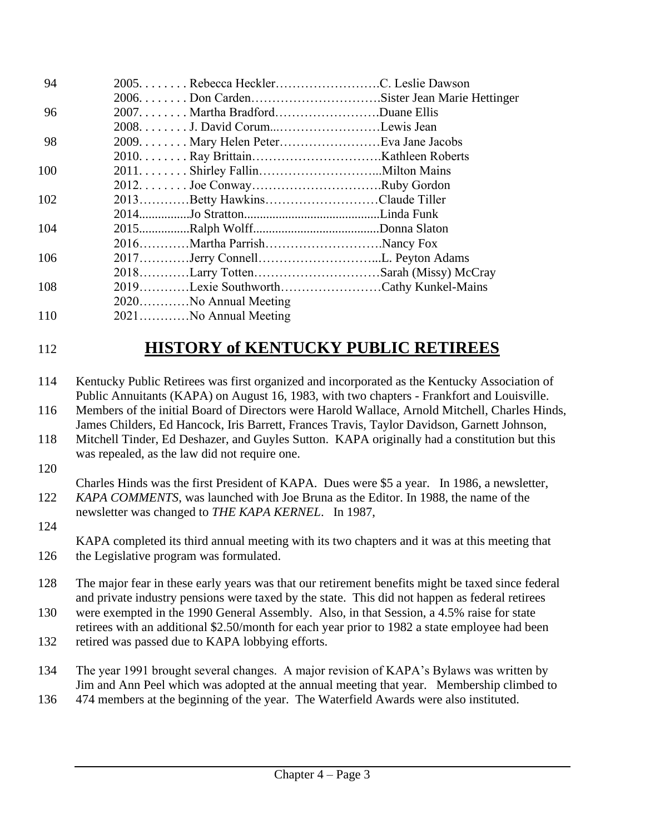| 94  |                                        |  |
|-----|----------------------------------------|--|
|     |                                        |  |
| 96  | 2007. Martha BradfordDuane Ellis       |  |
|     | 2008. J. David CorumLewis Jean         |  |
| 98  |                                        |  |
|     |                                        |  |
| 100 |                                        |  |
|     |                                        |  |
| 102 | 2013Betty HawkinsClaude Tiller         |  |
|     |                                        |  |
| 104 |                                        |  |
|     | 2016Martha ParrishNancy Fox            |  |
| 106 |                                        |  |
|     | 2018Larry TottenSarah (Missy) McCray   |  |
| 108 | 2019Lexie SouthworthCathy Kunkel-Mains |  |
|     | 2020No Annual Meeting                  |  |
| 110 | 2021No Annual Meeting                  |  |

## 112 **HISTORY of KENTUCKY PUBLIC RETIREES**

- 114 Kentucky Public Retirees was first organized and incorporated as the Kentucky Association of Public Annuitants (KAPA) on August 16, 1983, with two chapters - Frankfort and Louisville.
- 116 Members of the initial Board of Directors were Harold Wallace, Arnold Mitchell, Charles Hinds, James Childers, Ed Hancock, Iris Barrett, Frances Travis, Taylor Davidson, Garnett Johnson,
- 118 Mitchell Tinder, Ed Deshazer, and Guyles Sutton. KAPA originally had a constitution but this was repealed, as the law did not require one.
- 120

Charles Hinds was the first President of KAPA. Dues were \$5 a year. In 1986, a newsletter, 122 *KAPA COMMENTS*, was launched with Joe Bruna as the Editor. In 1988, the name of the newsletter was changed to *THE KAPA KERNEL*. In 1987,

124

KAPA completed its third annual meeting with its two chapters and it was at this meeting that 126 the Legislative program was formulated.

- 128 The major fear in these early years was that our retirement benefits might be taxed since federal and private industry pensions were taxed by the state. This did not happen as federal retirees
- 130 were exempted in the 1990 General Assembly. Also, in that Session, a 4.5% raise for state retirees with an additional \$2.50/month for each year prior to 1982 a state employee had been
- 132 retired was passed due to KAPA lobbying efforts.

134 The year 1991 brought several changes. A major revision of KAPA's Bylaws was written by Jim and Ann Peel which was adopted at the annual meeting that year. Membership climbed to

136 474 members at the beginning of the year. The Waterfield Awards were also instituted.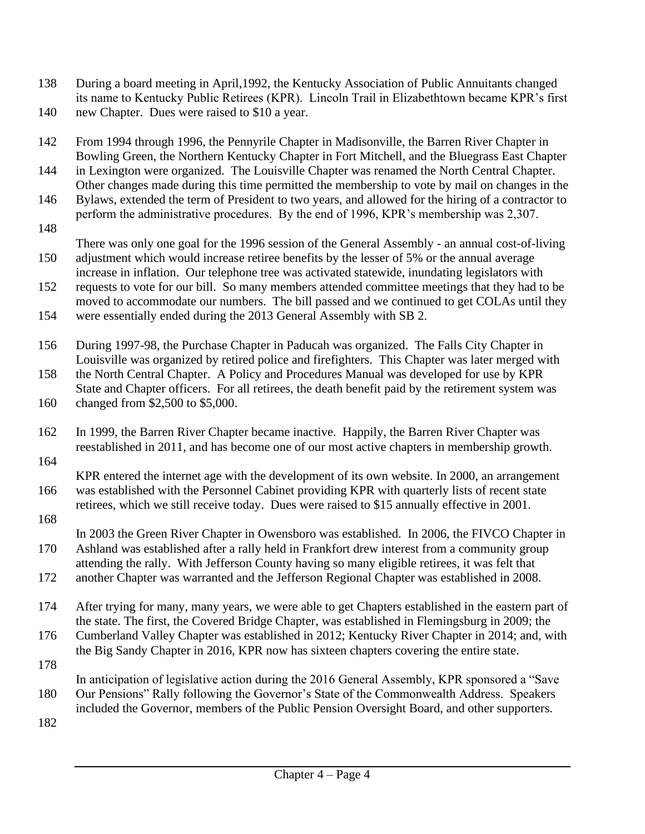- 138 During a board meeting in April,1992, the Kentucky Association of Public Annuitants changed its name to Kentucky Public Retirees (KPR). Lincoln Trail in Elizabethtown became KPR's first
- 140 new Chapter. Dues were raised to \$10 a year.
- 142 From 1994 through 1996, the Pennyrile Chapter in Madisonville, the Barren River Chapter in Bowling Green, the Northern Kentucky Chapter in Fort Mitchell, and the Bluegrass East Chapter
- 144 in Lexington were organized. The Louisville Chapter was renamed the North Central Chapter. Other changes made during this time permitted the membership to vote by mail on changes in the
- 146 Bylaws, extended the term of President to two years, and allowed for the hiring of a contractor to perform the administrative procedures. By the end of 1996, KPR's membership was 2,307. 148
- There was only one goal for the 1996 session of the General Assembly an annual cost-of-living 150 adjustment which would increase retiree benefits by the lesser of 5% or the annual average
- increase in inflation. Our telephone tree was activated statewide, inundating legislators with
- 152 requests to vote for our bill. So many members attended committee meetings that they had to be moved to accommodate our numbers. The bill passed and we continued to get COLAs until they
- 154 were essentially ended during the 2013 General Assembly with SB 2.
- 156 During 1997-98, the Purchase Chapter in Paducah was organized. The Falls City Chapter in Louisville was organized by retired police and firefighters. This Chapter was later merged with
- 158 the North Central Chapter. A Policy and Procedures Manual was developed for use by KPR State and Chapter officers. For all retirees, the death benefit paid by the retirement system was
- 160 changed from \$2,500 to \$5,000.
- 162 In 1999, the Barren River Chapter became inactive. Happily, the Barren River Chapter was reestablished in 2011, and has become one of our most active chapters in membership growth.
- 164

KPR entered the internet age with the development of its own website. In 2000, an arrangement 166 was established with the Personnel Cabinet providing KPR with quarterly lists of recent state retirees, which we still receive today. Dues were raised to \$15 annually effective in 2001.

168

In 2003 the Green River Chapter in Owensboro was established. In 2006, the FIVCO Chapter in 170 Ashland was established after a rally held in Frankfort drew interest from a community group attending the rally. With Jefferson County having so many eligible retirees, it was felt that

- 172 another Chapter was warranted and the Jefferson Regional Chapter was established in 2008.
- 174 After trying for many, many years, we were able to get Chapters established in the eastern part of the state. The first, the Covered Bridge Chapter, was established in Flemingsburg in 2009; the
- 176 Cumberland Valley Chapter was established in 2012; Kentucky River Chapter in 2014; and, with the Big Sandy Chapter in 2016, KPR now has sixteen chapters covering the entire state. 178
- In anticipation of legislative action during the 2016 General Assembly, KPR sponsored a "Save 180 Our Pensions" Rally following the Governor's State of the Commonwealth Address. Speakers included the Governor, members of the Public Pension Oversight Board, and other supporters.
- 182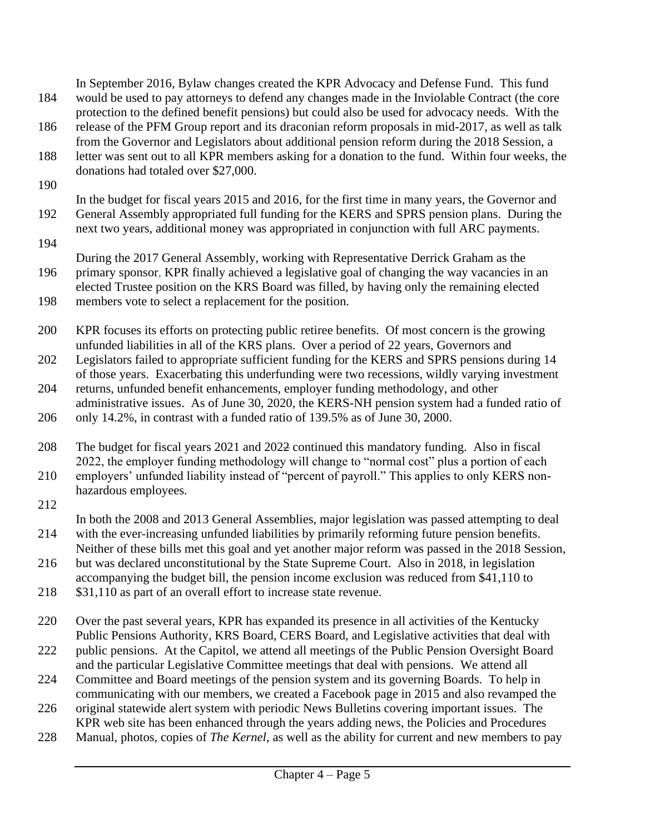188 letter was sent out to all KPR members asking for a donation to the fund. Within four weeks, the donations had totaled over \$27,000. 190 In the budget for fiscal years 2015 and 2016, for the first time in many years, the Governor and 192 General Assembly appropriated full funding for the KERS and SPRS pension plans. During the next two years, additional money was appropriated in conjunction with full ARC payments. 194 During the 2017 General Assembly, working with Representative Derrick Graham as the 196 primary sponsor, KPR finally achieved a legislative goal of changing the way vacancies in an elected Trustee position on the KRS Board was filled, by having only the remaining elected 198 members vote to select a replacement for the position. 200 KPR focuses its efforts on protecting public retiree benefits. Of most concern is the growing unfunded liabilities in all of the KRS plans. Over a period of 22 years, Governors and 202 Legislators failed to appropriate sufficient funding for the KERS and SPRS pensions during 14 of those years. Exacerbating this underfunding were two recessions, wildly varying investment 204 returns, unfunded benefit enhancements, employer funding methodology, and other administrative issues. As of June 30, 2020, the KERS-NH pension system had a funded ratio of 206 only 14.2%, in contrast with a funded ratio of 139.5% as of June 30, 2000. 208 The budget for fiscal years 2021 and 2022 continued this mandatory funding. Also in fiscal 2022, the employer funding methodology will change to "normal cost" plus a portion of each 210 employers' unfunded liability instead of "percent of payroll." This applies to only KERS nonhazardous employees. 212 In both the 2008 and 2013 General Assemblies, major legislation was passed attempting to deal 214 with the ever-increasing unfunded liabilities by primarily reforming future pension benefits. Neither of these bills met this goal and yet another major reform was passed in the 2018 Session, 216 but was declared unconstitutional by the State Supreme Court. Also in 2018, in legislation accompanying the budget bill, the pension income exclusion was reduced from \$41,110 to 218 \$31,110 as part of an overall effort to increase state revenue. 220 Over the past several years, KPR has expanded its presence in all activities of the Kentucky Public Pensions Authority, KRS Board, CERS Board, and Legislative activities that deal with 222 public pensions. At the Capitol, we attend all meetings of the Public Pension Oversight Board and the particular Legislative Committee meetings that deal with pensions. We attend all 224 Committee and Board meetings of the pension system and its governing Boards. To help in

In September 2016, Bylaw changes created the KPR Advocacy and Defense Fund. This fund 184 would be used to pay attorneys to defend any changes made in the Inviolable Contract (the core

protection to the defined benefit pensions) but could also be used for advocacy needs. With the

186 release of the PFM Group report and its draconian reform proposals in mid-2017, as well as talk from the Governor and Legislators about additional pension reform during the 2018 Session, a

- communicating with our members, we created a Facebook page in 2015 and also revamped the 226 original statewide alert system with periodic News Bulletins covering important issues. The
- KPR web site has been enhanced through the years adding news, the Policies and Procedures
- 228 Manual, photos, copies of *The Kernel*, as well as the ability for current and new members to pay